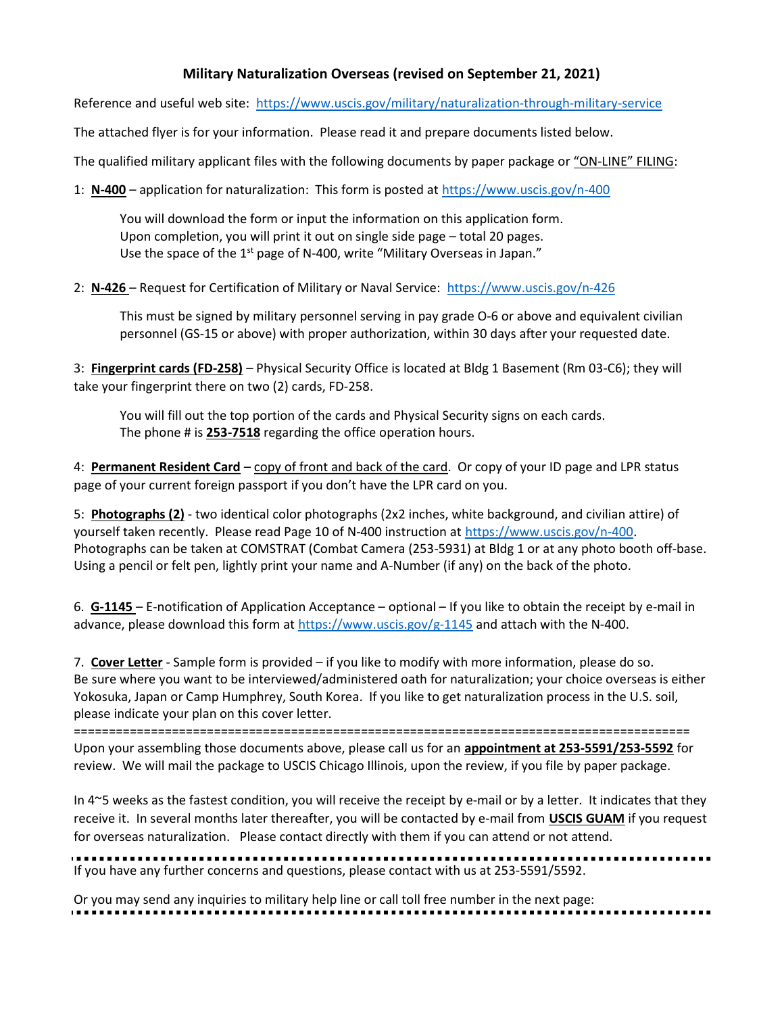## Military Naturalization Overseas (revised on September 21, 2021)

Reference and useful web site: https://www.uscis.gov/military/naturalization-through-military-service

The attached flyer is for your information. Please read it and prepare documents listed below.

The qualified military applicant files with the following documents by paper package or "ON-LINE" FILING:

1: N-400 – application for naturalization: This form is posted at https://www.uscis.gov/n-400

 You will download the form or input the information on this application form. Upon completion, you will print it out on single side page – total 20 pages. Use the space of the 1<sup>st</sup> page of N-400, write "Military Overseas in Japan."

2: N-426 – Request for Certification of Military or Naval Service: https://www.uscis.gov/n-426

This must be signed by military personnel serving in pay grade O-6 or above and equivalent civilian personnel (GS-15 or above) with proper authorization, within 30 days after your requested date.

3: Fingerprint cards (FD-258) – Physical Security Office is located at Bldg 1 Basement (Rm 03-C6); they will take your fingerprint there on two (2) cards, FD-258.

You will fill out the top portion of the cards and Physical Security signs on each cards. The phone # is 253-7518 regarding the office operation hours.

4: Permanent Resident Card – copy of front and back of the card. Or copy of your ID page and LPR status page of your current foreign passport if you don't have the LPR card on you.

5: Photographs (2) - two identical color photographs (2x2 inches, white background, and civilian attire) of yourself taken recently. Please read Page 10 of N-400 instruction at https://www.uscis.gov/n-400. Photographs can be taken at COMSTRAT (Combat Camera (253-5931) at Bldg 1 or at any photo booth off-base. Using a pencil or felt pen, lightly print your name and A-Number (if any) on the back of the photo.

6. G-1145 – E-notification of Application Acceptance – optional – If you like to obtain the receipt by e-mail in advance, please download this form at https://www.uscis.gov/g-1145 and attach with the N-400.

7. Cover Letter - Sample form is provided – if you like to modify with more information, please do so. Be sure where you want to be interviewed/administered oath for naturalization; your choice overseas is either Yokosuka, Japan or Camp Humphrey, South Korea. If you like to get naturalization process in the U.S. soil, please indicate your plan on this cover letter.

========================================================================================

Upon your assembling those documents above, please call us for an appointment at 253-5591/253-5592 for review. We will mail the package to USCIS Chicago Illinois, upon the review, if you file by paper package.

In 4~5 weeks as the fastest condition, you will receive the receipt by e-mail or by a letter. It indicates that they receive it. In several months later thereafter, you will be contacted by e-mail from USCIS GUAM if you request for overseas naturalization. Please contact directly with them if you can attend or not attend.

If you have any further concerns and questions, please contact with us at 253-5591/5592.

Or you may send any inquiries to military help line or call toll free number in the next page: